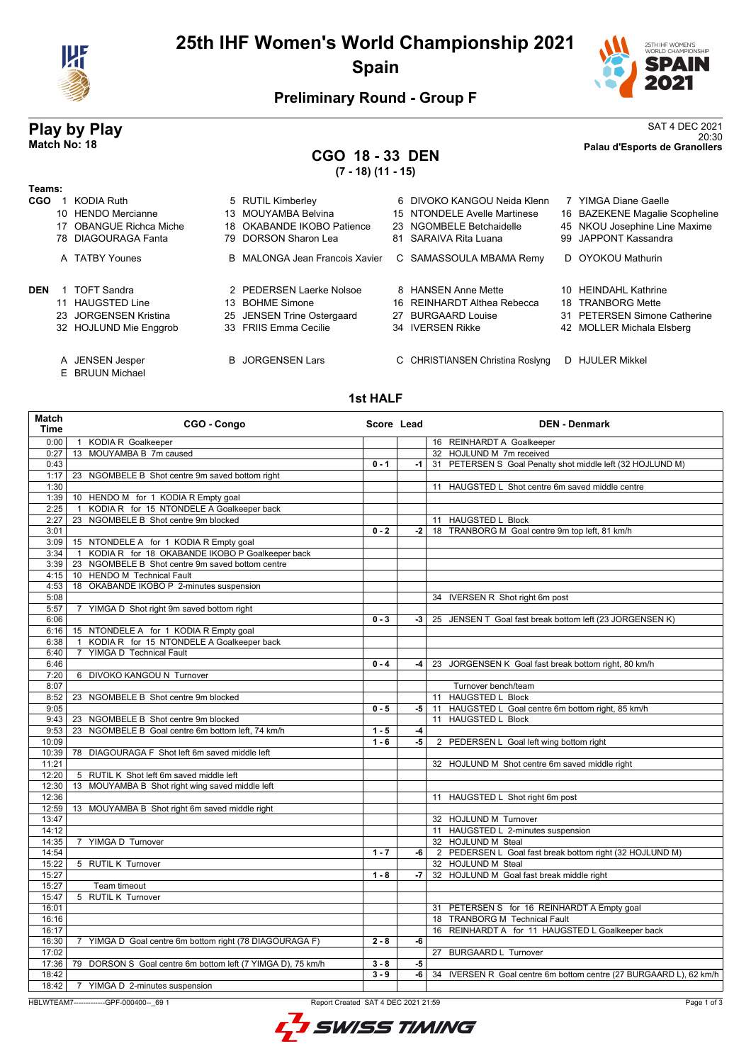

## **25th IHF Women's World Championship 2021 Spain**



### **Preliminary Round - Group F**

### **CGO 18 - 33 DEN (7 - 18) (11 - 15)**

**Play by Play**<br>Match No: 18<br>Palau d'Esports de Granollers 20:30 **Match No: 18 Palau d'Esports de Granollers**

### **Teams:**

| ι eans.    |     |                         |     |                                |    |                                  |                                |
|------------|-----|-------------------------|-----|--------------------------------|----|----------------------------------|--------------------------------|
| <b>CGO</b> |     | KODIA Ruth              |     | 5 RUTIL Kimberley              |    | 6 DIVOKO KANGOU Neida Klenn      | <b>YIMGA Diane Gaelle</b>      |
|            |     | 10 HENDO Mercianne      |     | 13 MOUYAMBA Belvina            |    | 15 NTONDELE Avelle Martinese     | 16 BAZEKENE Magalie Scopheline |
|            |     | 17 OBANGUE Richca Miche | 18. | OKABANDE IKOBO Patience        |    | 23 NGOMBELE Betchaidelle         | 45 NKOU Josephine Line Maxime  |
|            |     | 78 DIAGOURAGA Fanta     |     | 79 DORSON Sharon Lea           |    | 81 SARAIVA Rita Luana            | 99 JAPPONT Kassandra           |
|            |     | A TATBY Younes          |     | B MALONGA Jean Francois Xavier |    | C SAMASSOULA MBAMA Remy          | D OYOKOU Mathurin              |
| <b>DEN</b> |     | TOFT Sandra             |     | 2 PEDERSEN Laerke Nolsoe       |    | 8 HANSEN Anne Mette              | 10 HEINDAHL Kathrine           |
|            |     | 11 HAUGSTED Line        | 13. | <b>BOHME Simone</b>            |    | 16 REINHARDT Althea Rebecca      | 18 TRANBORG Mette              |
|            | 23. | JORGENSEN Kristina      |     | 25 JENSEN Trine Ostergaard     | 27 | <b>BURGAARD Louise</b>           | 31 PETERSEN Simone Catherine   |
|            |     | 32 HOJLUND Mie Enggrob  |     | 33 FRIIS Emma Cecilie          |    | 34 IVERSEN Rikke                 | 42 MOLLER Michala Elsberg      |
|            |     | A JENSEN Jesper         |     | <b>B</b> JORGENSEN Lars        |    | C CHRISTIANSEN Christina Roslyng | D HJULER Mikkel                |

E BRUUN Michael

**1st HALF**

#### **Match Time CGO - Congo Score Lead DEN - Denmark** 0:00 1 KODIA R Goalkeeper 16 REINHARDT A Goalkeeper 0:27 13 MOUYAMBA B 7m caused 32 HOJLUND M 7m received 0.43 **0.43 0.43 0.43 0.43 0.43 0.53 <b>0.53 0.43 0.53 0.43 0.53 0.53 0.43 0.53 0.43 1 1 31 PETERSEN S Goal Penalty shot middle left (32 HOJLUND M)** 1:17 23 NGOMBELE B Shot centre 9m saved bottom right 1:30 100 11 HAUGSTED L Shot centre 6m saved middle centre 1:39 10 HENDO M for 1 KODIA R Empty goal 2:25 1 KODIA R for 15 NTONDELE A Goalkeeper back 2:27 23 NGOMBELE B Shot centre 9m blocked 11 11 HAUGSTED L Block **0 - 2 -2** 18 TRANBORG M Goal centre 9m top left, 81 km/h 3:09 | 15 NTONDELE A for 1 KODIA R Empty goal 3:34 1 KODIA R for 18 OKABANDE IKOBO P Goalkeeper back 3:39 23 NGOMBELE B Shot centre 9m saved bottom centre 4:15 10 HENDO M Technical Fault 4:53 | 18 OKABANDE IKOBO P 2-minutes suspension 5:08 34 IVERSEN R Shot right 6m post<br>5:57 7 YIMGA D Shot right 9m saved bottom right 5:57 7 YIMGA D Shot right 9m saved bottom right 6:06 **0 - 3 -3** 25 JENSEN T Goal fast break bottom left (23 JORGENSEN K) 6:16 15 NTONDELE A for 1 KODIA R Empty goal<br>6:38 1 KODIA R for 15 NTONDELE A Goalkeepe 6:38 1 KODIA R for 15 NTONDELE A Goalkeeper back 6:40 7 YIMGA D Technical Fault 6:46 **0 - 4 -4** 23 JORGENSEN K Goal fast break bottom right, 80 km/h 7:20 6 DIVOKO KANGOU N Turnover 8:07 Turnover bench/team 8:52 23 NGOMBELE B Shot centre 9m blocked 11 11 HAUGSTED L Block 9:05 **0 - 5 -5** 11 HAUGSTED L Goal centre 6m bottom right, 85 km/h 9:43 23 NGOMBELE B Shot centre 9m blocked 11 11 HAUGSTED L Block 9:53 23 NGOMBELE B Goal centre 6m bottom left, 74 km/h **1 - 5 -4** 10:09 **1 - 6 -5** 2 PEDERSEN L Goal left wing bottom right 10:39 78 DIAGOURAGA F Shot left 6m saved middle left 11:21 32 HOJLUND M Shot centre 6m saved middle right 12:20 | 5 RUTIL K Shot left 6m saved middle left 12:30 | 13 MOUYAMBA B Shot right wing saved middle left 12:36 12:36 12:36 12:36 12:36 12:36 12:36 12:36 12:36 12:36 12:36 12:36 12:36 12:36 12:36 12:36 12:36 12:36 12:36 12:36 12:36 12:36 12:36 12:36 12:36 12:36 12:36 12:36 12:36 12:36 12:36 12:36 12:36 12:36 12:36 12:36 12:36 12:59 13 MOUYAMBA B Shot right 6m saved middle right 32 HOJLUND M Turnover 14:12 11 HAUGSTED L 2-minutes suspension<br>14:35 17 YIMGA D Turnover 14:35 17 YIMGA D Turnover 14:35 7 YIMGA D Turnover 32 HOJLUND M Steal 32 HOJLUND M Steal 14:54 **14:54** 11:54 **14:54** 11:54 **11:54** 11:54 **11:54** 11:54 **11:54** 11:54 **11:54** 11:54 **11:54** 11:522 11:54 12:05 **RUTIL K Turnover** 11:522 11:54 12:05 **12:07 12:07 12:07 12:07 12:07 12:07 12:07 12:07 12:07 12:07 12:07** 32 HOJLUND M Steal 15:27 **15:27 16:27 16:27 16:27 16:27 16:27 16:27 16:27 16:27 16:27 16:27 16:27 16:27 16:27 16:27 16:27 16:27 16:27 16:27 16:27 16:27 16:27 16:27 16:27 16:27 16:27 16:27** Team timeout 15:47 5 RUTIL K Turnover 16:01 31 PETERSEN S for 16 REINHARDT A Empty goal 16:16 18:16 18:16 18:16 18:16 18:16 18:16 18:16 18:16 18:16 18:16 18:16 18:16 18:16 18:16 18:16 18:16 18:16 1 16:17 16:17 16:17 16 REINHARDT A for 11 HAUGSTED L Goalkeeper back 16:30 7 YIMGA D Goal centre 6m bottom right (78 DIAGOURAGA F) **2 - 8 -6** 17:02 27 BURGAARD L Turnover 17:36 79 DORSON S Goal centre 6m bottom left (7 YIMGA D), 75 km/h **3 - 8 -5** 18:42 **3 - 9 -6** 34 IVERSEN R Goal centre 6m bottom centre (27 BURGAARD L), 62 km/h 18:42 7 YIMGA D 2-minutes suspension

HBLWTEAM7-------------GPF-000400--\_69 1 Report Created SAT 4 DEC 2021 21:59

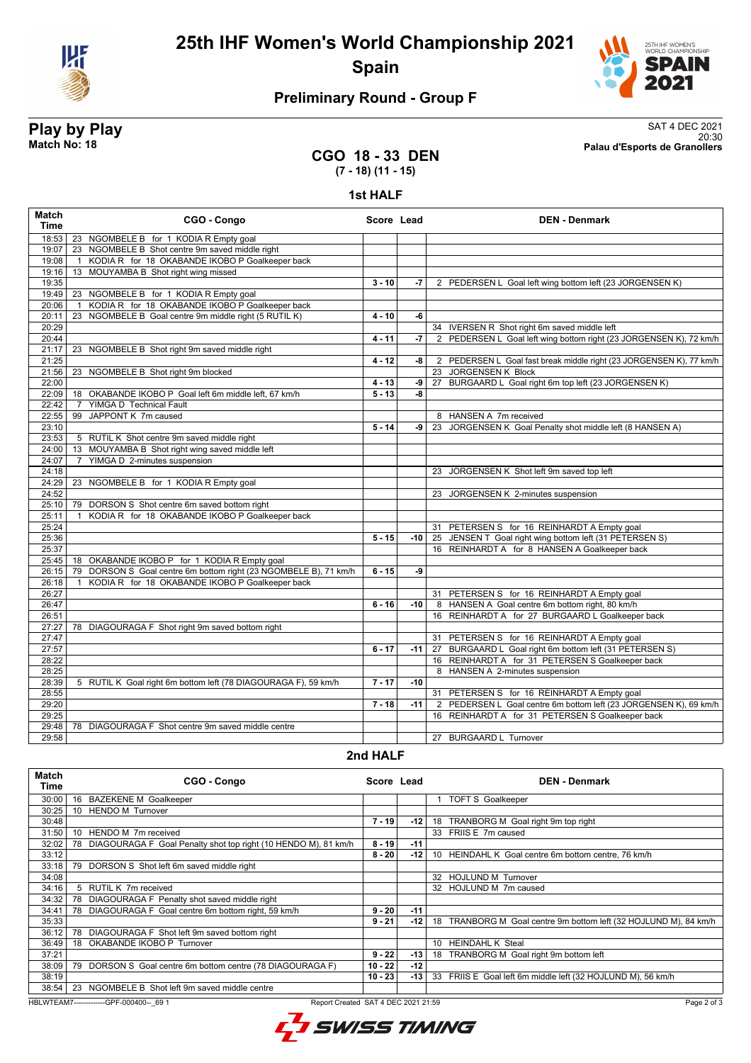

**25th IHF Women's World Championship 2021 Spain**



## **Preliminary Round - Group F**

**Play by Play**<br>Match No: 18<br>Palau d'Esports de Granollers 20:30 **Match No: 18 Palau d'Esports de Granollers**

#### **CGO 18 - 33 DEN (7 - 18) (11 - 15)**

**1st HALF**

| Match<br><b>Time</b> | CGO - Congo                                                       | Score Lead |       | <b>DEN - Denmark</b>                                                |
|----------------------|-------------------------------------------------------------------|------------|-------|---------------------------------------------------------------------|
| 18:53                | 23 NGOMBELE B for 1 KODIA R Empty goal                            |            |       |                                                                     |
| 19:07                | 23 NGOMBELE B Shot centre 9m saved middle right                   |            |       |                                                                     |
| 19:08                | KODIA R for 18 OKABANDE IKOBO P Goalkeeper back<br>$\overline{1}$ |            |       |                                                                     |
| 19:16                | 13 MOUYAMBA B Shot right wing missed                              |            |       |                                                                     |
| 19:35                |                                                                   | $3 - 10$   | $-7$  | 2 PEDERSEN L Goal left wing bottom left (23 JORGENSEN K)            |
| 19:49                | 23 NGOMBELE B for 1 KODIA R Empty goal                            |            |       |                                                                     |
| 20:06                | KODIA R for 18 OKABANDE IKOBO P Goalkeeper back<br>$\overline{1}$ |            |       |                                                                     |
| 20:11                | NGOMBELE B Goal centre 9m middle right (5 RUTIL K)<br>23          | $4 - 10$   | -6    |                                                                     |
| 20:29                |                                                                   |            |       | 34 IVERSEN R Shot right 6m saved middle left                        |
| 20:44                |                                                                   | $4 - 11$   | -7    | 2 PEDERSEN L Goal left wing bottom right (23 JORGENSEN K), 72 km/h  |
| 21:17                | 23 NGOMBELE B Shot right 9m saved middle right                    |            |       |                                                                     |
| 21:25                |                                                                   | $4 - 12$   | -8    | 2 PEDERSEN L Goal fast break middle right (23 JORGENSEN K), 77 km/h |
| 21:56                | 23 NGOMBELE B Shot right 9m blocked                               |            |       | 23 JORGENSEN K Block                                                |
| 22:00                |                                                                   | $4 - 13$   | -9    | 27 BURGAARD L Goal right 6m top left (23 JORGENSEN K)               |
| 22:09                | 18 OKABANDE IKOBO P Goal left 6m middle left, 67 km/h             | $5 - 13$   | -8    |                                                                     |
| 22:42                | 7 YIMGA D Technical Fault                                         |            |       |                                                                     |
| 22:55                | 99 JAPPONT K 7m caused                                            |            |       | 8 HANSEN A 7m received                                              |
| 23:10                |                                                                   | $5 - 14$   | -9    | 23 JORGENSEN K Goal Penalty shot middle left (8 HANSEN A)           |
| 23:53                | 5 RUTIL K Shot centre 9m saved middle right                       |            |       |                                                                     |
| 24:00                | 13 MOUYAMBA B Shot right wing saved middle left                   |            |       |                                                                     |
| 24:07                | YIMGA D 2-minutes suspension<br>$\overline{7}$                    |            |       |                                                                     |
| 24:18                |                                                                   |            |       | 23 JORGENSEN K Shot left 9m saved top left                          |
| 24:29                | 23 NGOMBELE B for 1 KODIA R Empty goal                            |            |       |                                                                     |
| 24:52                |                                                                   |            |       | 23 JORGENSEN K 2-minutes suspension                                 |
| 25:10                | 79 DORSON S Shot centre 6m saved bottom right                     |            |       |                                                                     |
| 25:11                | KODIA R for 18 OKABANDE IKOBO P Goalkeeper back<br>$\overline{1}$ |            |       |                                                                     |
| 25:24                |                                                                   |            |       | 31 PETERSEN S for 16 REINHARDT A Empty goal                         |
| 25:36                |                                                                   | $5 - 15$   | $-10$ | 25 JENSEN T Goal right wing bottom left (31 PETERSEN S)             |
| 25:37                |                                                                   |            |       | 16 REINHARDT A for 8 HANSEN A Goalkeeper back                       |
| 25:45                | 18 OKABANDE IKOBO P for 1 KODIA R Empty goal                      |            |       |                                                                     |
| 26:15                | 79 DORSON S Goal centre 6m bottom right (23 NGOMBELE B), 71 km/h  | $6 - 15$   | -9    |                                                                     |
| 26:18                | KODIA R for 18 OKABANDE IKOBO P Goalkeeper back<br>$\mathbf{1}$   |            |       |                                                                     |
| 26:27                |                                                                   |            |       | 31 PETERSEN S for 16 REINHARDT A Empty goal                         |
| 26:47                |                                                                   | $6 - 16$   | $-10$ | 8 HANSEN A Goal centre 6m bottom right, 80 km/h                     |
| 26:51                |                                                                   |            |       | 16 REINHARDT A for 27 BURGAARD L Goalkeeper back                    |
| 27:27                | 78 DIAGOURAGA F Shot right 9m saved bottom right                  |            |       |                                                                     |
| 27:47                |                                                                   |            |       | 31 PETERSEN S for 16 REINHARDT A Empty goal                         |
| 27:57                |                                                                   | $6 - 17$   | $-11$ | 27 BURGAARD L Goal right 6m bottom left (31 PETERSEN S)             |
| 28:22                |                                                                   |            |       | 16 REINHARDT A for 31 PETERSEN S Goalkeeper back                    |
| 28:25                |                                                                   |            |       | 8 HANSEN A 2-minutes suspension                                     |
| 28:39                | 5 RUTIL K Goal right 6m bottom left (78 DIAGOURAGA F), 59 km/h    | $7 - 17$   | $-10$ |                                                                     |
| 28:55                |                                                                   |            |       | 31 PETERSEN S for 16 REINHARDT A Empty goal                         |
| 29:20                |                                                                   | $7 - 18$   | $-11$ | 2 PEDERSEN L Goal centre 6m bottom left (23 JORGENSEN K), 69 km/h   |
| 29:25                |                                                                   |            |       | 16 REINHARDT A for 31 PETERSEN S Goalkeeper back                    |
| 29:48                | 78 DIAGOURAGA F Shot centre 9m saved middle centre                |            |       |                                                                     |
| 29:58                |                                                                   |            |       | 27 BURGAARD L Turnover                                              |

#### **2nd HALF**

| <b>Match</b><br>Time                                                                           | CGO - Congo                                                          | Score Lead |       | <b>DEN - Denmark</b>                                                |
|------------------------------------------------------------------------------------------------|----------------------------------------------------------------------|------------|-------|---------------------------------------------------------------------|
| 30:00                                                                                          | <b>BAZEKENE M Goalkeeper</b><br>16                                   |            |       | <b>TOFT S Goalkeeper</b>                                            |
| 30:25                                                                                          | <b>HENDO M Turnover</b><br>10                                        |            |       |                                                                     |
| 30:48                                                                                          |                                                                      | $7 - 19$   | -12 l | 18 TRANBORG M Goal right 9m top right                               |
| 31:50                                                                                          | HENDO M 7m received<br>10                                            |            |       | 33 FRIIS E 7m caused                                                |
| 32:02                                                                                          | DIAGOURAGA F Goal Penalty shot top right (10 HENDO M), 81 km/h<br>78 | $8 - 19$   | $-11$ |                                                                     |
| 33:12                                                                                          |                                                                      | $8 - 20$   | -12   | 10 HEINDAHL K Goal centre 6m bottom centre, 76 km/h                 |
| 33:18                                                                                          | DORSON S Shot left 6m saved middle right<br>79                       |            |       |                                                                     |
| 34:08                                                                                          |                                                                      |            |       | 32 HOJLUND M Turnover                                               |
| 34:16                                                                                          | 5 RUTIL K 7m received                                                |            |       | 32 HOJLUND M 7m caused                                              |
| 34:32                                                                                          | DIAGOURAGA F Penalty shot saved middle right<br>78                   |            |       |                                                                     |
| 34:41                                                                                          | DIAGOURAGA F Goal centre 6m bottom right, 59 km/h<br>78              | $9 - 20$   | $-11$ |                                                                     |
| 35:33                                                                                          |                                                                      | $9 - 21$   | -12   | TRANBORG M Goal centre 9m bottom left (32 HOJLUND M), 84 km/h<br>18 |
| 36:12                                                                                          | DIAGOURAGA F Shot left 9m saved bottom right<br>78                   |            |       |                                                                     |
| 36:49                                                                                          | OKABANDE IKOBO P Turnover<br>18                                      |            |       | <b>HEINDAHL K Steal</b><br>10                                       |
| 37:21                                                                                          |                                                                      | $9 - 22$   | -13   | 18 TRANBORG M Goal right 9m bottom left                             |
| 38:09                                                                                          | DORSON S Goal centre 6m bottom centre (78 DIAGOURAGA F)<br>79        | 10 - 22 l  | $-12$ |                                                                     |
| 38:19                                                                                          |                                                                      | 10 - 23    | -13 l | 33 FRIIS E Goal left 6m middle left (32 HOJLUND M), 56 km/h         |
| 38:54                                                                                          | NGOMBELE B Shot left 9m saved middle centre<br>23                    |            |       |                                                                     |
| HBLWTEAM7--------------GPF-000400-- 69 1<br>Report Created SAT 4 DEC 2021 21:59<br>Page 2 of 3 |                                                                      |            |       |                                                                     |